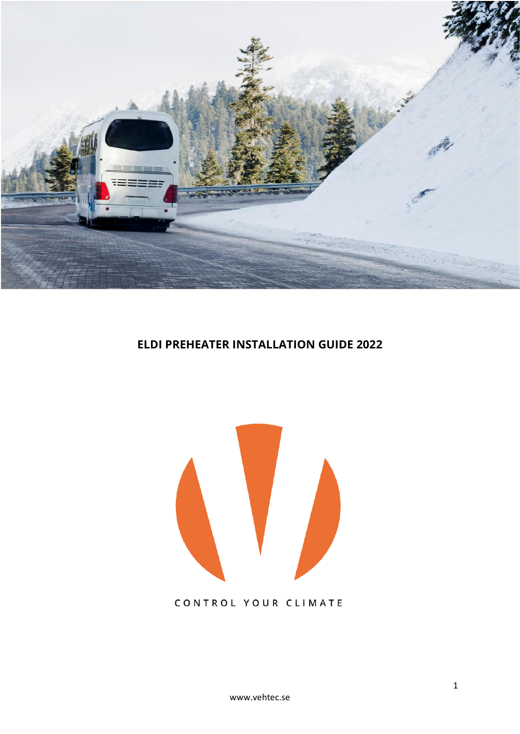

## **ELDI PREHEATER INSTALLATION GUIDE 2022**



### CONTROL YOUR CLIMATE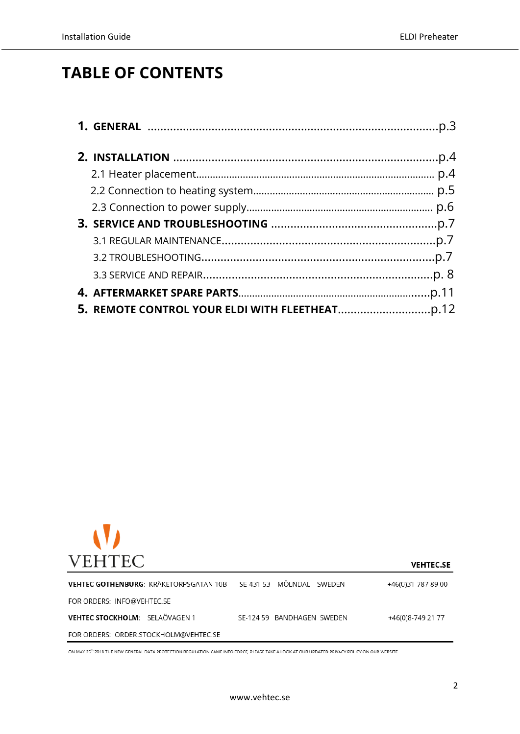# **TABLE OF CONTENTS**



**VEHTEC.SE** VEHTEC GOTHENBURG: KRÅKETORPSGATAN 10B SE-431 53 MÖLNDAL SWEDEN +46(0)31-787 89 00 FOR ORDERS: INFO@VEHTEC.SE VEHTEC STOCKHOLM: SELAÖVAGEN 1 SE-124 59 BANDHAGEN SWEDEN +46(0)8-749 21 77 FOR ORDERS: ORDER.STOCKHOLM@VEHTEC.SE

ON MAY 25<sup>th</sup> 2018 THE NEW GENERAL DATA PROTECTION REGULATION CAME INTO FORCE, PLEASE TAKE A LOOK AT OUR UPDATED PRIVACY POLICY ON OUR WEBSITE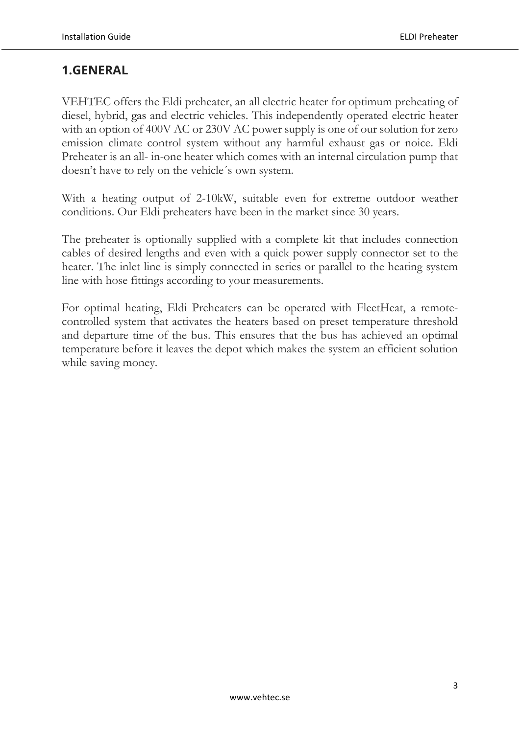## **1.GENERAL**

VEHTEC offers the Eldi preheater, an all electric heater for optimum preheating of diesel, hybrid, gas and electric vehicles. This independently operated electric heater with an option of 400V AC or 230V AC power supply is one of our solution for zero emission climate control system without any harmful exhaust gas or noice. Eldi Preheater is an all- in-one heater which comes with an internal circulation pump that doesn't have to rely on the vehicle´s own system.

With a heating output of 2-10kW, suitable even for extreme outdoor weather conditions. Our Eldi preheaters have been in the market since 30 years.

The preheater is optionally supplied with a complete kit that includes connection cables of desired lengths and even with a quick power supply connector set to the heater. The inlet line is simply connected in series or parallel to the heating system line with hose fittings according to your measurements.

For optimal heating, Eldi Preheaters can be operated with FleetHeat, a remotecontrolled system that activates the heaters based on preset temperature threshold and departure time of the bus. This ensures that the bus has achieved an optimal temperature before it leaves the depot which makes the system an efficient solution while saving money.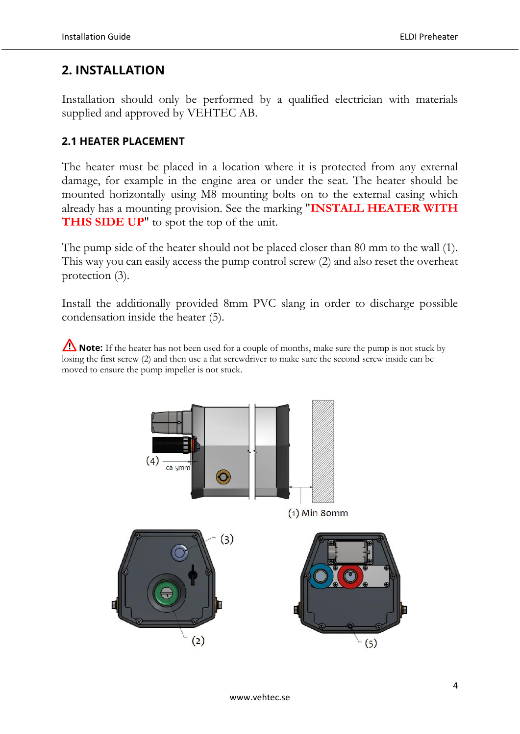## **2. INSTALLATION**

Installation should only be performed by a qualified electrician with materials supplied and approved by VEHTEC AB.

#### **2.1 HEATER PLACEMENT**

The heater must be placed in a location where it is protected from any external damage, for example in the engine area or under the seat. The heater should be mounted horizontally using M8 mounting bolts on to the external casing which already has a mounting provision. See the marking "**INSTALL HEATER WITH THIS SIDE UP**" to spot the top of the unit.

The pump side of the heater should not be placed closer than 80 mm to the wall (1). This way you can easily access the pump control screw (2) and also reset the overheat protection (3).

Install the additionally provided 8mm PVC slang in order to discharge possible condensation inside the heater (5).

**Note:** If the heater has not been used for a couple of months, make sure the pump is not stuck by losing the first screw (2) and then use a flat screwdriver to make sure the second screw inside can be moved to ensure the pump impeller is not stuck.

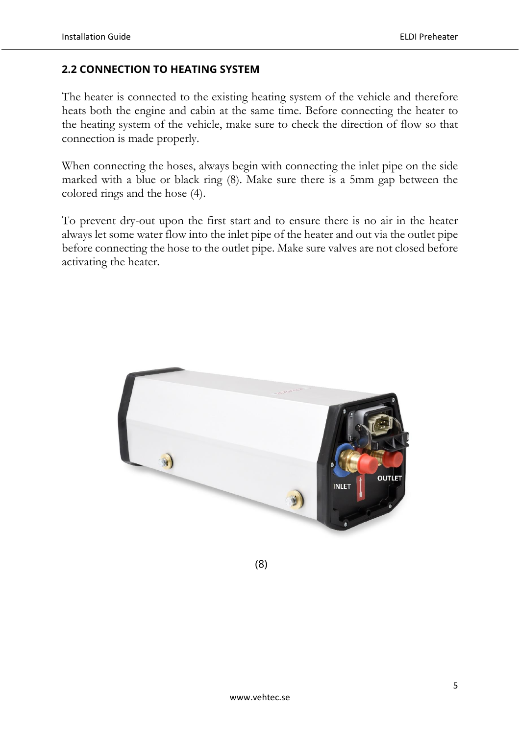#### **2.2 CONNECTION TO HEATING SYSTEM**

The heater is connected to the existing heating system of the vehicle and therefore heats both the engine and cabin at the same time. Before connecting the heater to the heating system of the vehicle, make sure to check the direction of flow so that connection is made properly.

When connecting the hoses, always begin with connecting the inlet pipe on the side marked with a blue or black ring (8). Make sure there is a 5mm gap between the colored rings and the hose (4).

To prevent dry-out upon the first start and to ensure there is no air in the heater always let some water flow into the inlet pipe of the heater and out via the outlet pipe before connecting the hose to the outlet pipe. Make sure valves are not closed before activating the heater.



(8)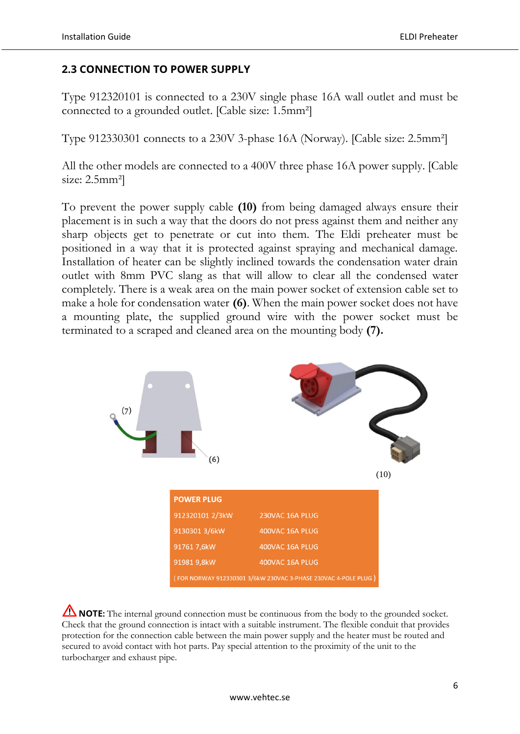#### **2.3 CONNECTION TO POWER SUPPLY**

Type 912320101 is connected to a 230V single phase 16A wall outlet and must be connected to a grounded outlet. [Cable size: 1.5mm²]

Type 912330301 connects to a 230V 3-phase 16A (Norway). [Cable size: 2.5mm²]

All the other models are connected to a 400V three phase 16A power supply. [Cable size: 2.5mm<sup>2</sup>

To prevent the power supply cable **(10)** from being damaged always ensure their placement is in such a way that the doors do not press against them and neither any sharp objects get to penetrate or cut into them. The Eldi preheater must be positioned in a way that it is protected against spraying and mechanical damage. Installation of heater can be slightly inclined towards the condensation water drain outlet with 8mm PVC slang as that will allow to clear all the condensed water completely. There is a weak area on the main power socket of extension cable set to make a hole for condensation water **(6)**. When the main power socket does not have a mounting plate, the supplied ground wire with the power socket must be terminated to a scraped and cleaned area on the mounting body **(7).**



**NOTE:** The internal ground connection must be continuous from the body to the grounded socket. Check that the ground connection is intact with a suitable instrument. The flexible conduit that provides protection for the connection cable between the main power supply and the heater must be routed and secured to avoid contact with hot parts. Pay special attention to the proximity of the unit to the turbocharger and exhaust pipe.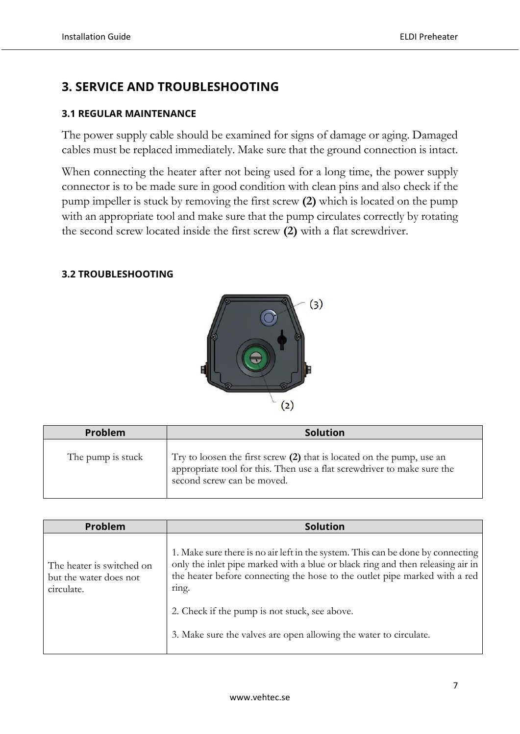## **3. SERVICE AND TROUBLESHOOTING**

#### **3.1 REGULAR MAINTENANCE**

The power supply cable should be examined for signs of damage or aging. Damaged cables must be replaced immediately. Make sure that the ground connection is intact.

When connecting the heater after not being used for a long time, the power supply connector is to be made sure in good condition with clean pins and also check if the pump impeller is stuck by removing the first screw **(2)** which is located on the pump with an appropriate tool and make sure that the pump circulates correctly by rotating the second screw located inside the first screw **(2)** with a flat screwdriver.

#### **3.2 TROUBLESHOOTING**



| Problem           | <b>Solution</b>                                                                                                                                                                  |  |  |  |
|-------------------|----------------------------------------------------------------------------------------------------------------------------------------------------------------------------------|--|--|--|
| The pump is stuck | Try to loosen the first screw $(2)$ that is located on the pump, use an<br>appropriate tool for this. Then use a flat screwdriver to make sure the<br>second screw can be moved. |  |  |  |

| <b>Problem</b>                                                    | <b>Solution</b>                                                                                                                                                                                                                                                                                                                                                                |  |  |  |
|-------------------------------------------------------------------|--------------------------------------------------------------------------------------------------------------------------------------------------------------------------------------------------------------------------------------------------------------------------------------------------------------------------------------------------------------------------------|--|--|--|
| The heater is switched on<br>but the water does not<br>circulate. | 1. Make sure there is no air left in the system. This can be done by connecting<br>only the inlet pipe marked with a blue or black ring and then releasing air in<br>the heater before connecting the hose to the outlet pipe marked with a red<br>ring.<br>2. Check if the pump is not stuck, see above.<br>3. Make sure the valves are open allowing the water to circulate. |  |  |  |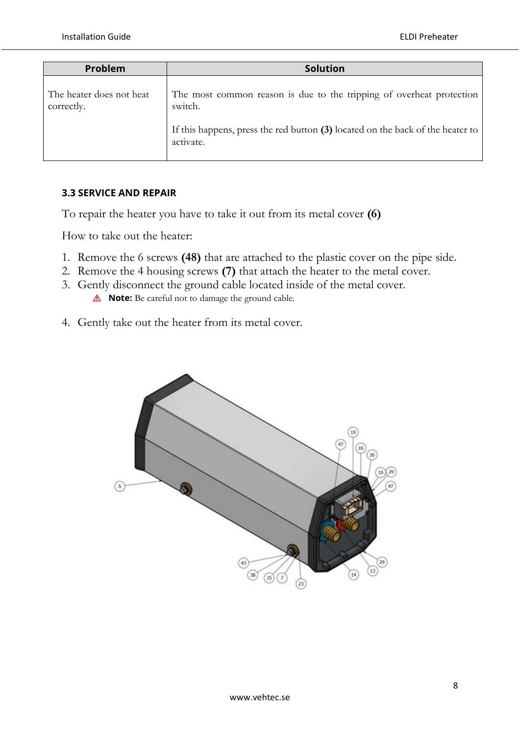| Problem                                | <b>Solution</b>                                                                                                                                                                |  |  |  |
|----------------------------------------|--------------------------------------------------------------------------------------------------------------------------------------------------------------------------------|--|--|--|
| The heater does not heat<br>correctly. | The most common reason is due to the tripping of overheat protection<br>switch.<br>If this happens, press the red button (3) located on the back of the heater to<br>activate. |  |  |  |
|                                        |                                                                                                                                                                                |  |  |  |

#### **3.3 SERVICE AND REPAIR**

To repair the heater you have to take it out from its metal cover **(6)**

How to take out the heater:

- 1. Remove the 6 screws **(48)** that are attached to the plastic cover on the pipe side.
- 2. Remove the 4 housing screws **(7)** that attach the heater to the metal cover.
- 3. Gently disconnect the ground cable located inside of the metal cover. **Note:** Be careful not to damage the ground cable*.*
- 4. Gently take out the heater from its metal cover.

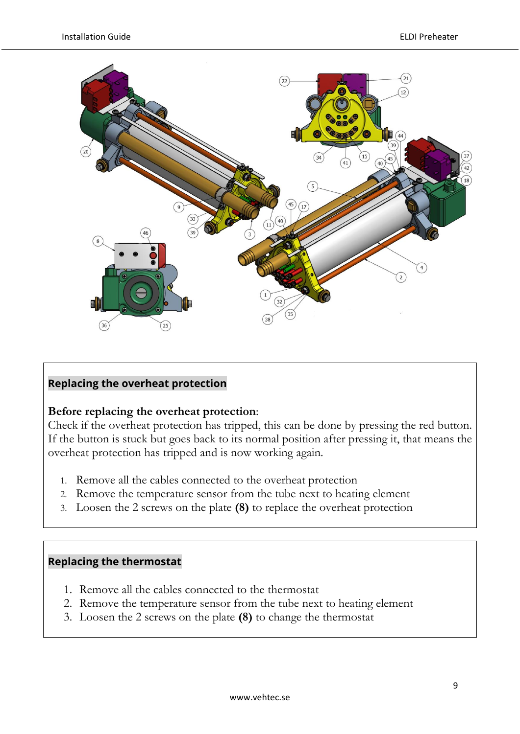

#### **Replacing the overheat protection**

#### **Before replacing the overheat protection**:

Check if the overheat protection has tripped, this can be done by pressing the red button. If the button is stuck but goes back to its normal position after pressing it, that means the overheat protection has tripped and is now working again.

- 1. Remove all the cables connected to the overheat protection
- 2. Remove the temperature sensor from the tube next to heating element
- 3. Loosen the 2 screws on the plate **(8)** to replace the overheat protection

#### **Replacing the thermostat**

- 1. Remove all the cables connected to the thermostat
- 2. Remove the temperature sensor from the tube next to heating element
- 3. Loosen the 2 screws on the plate **(8)** to change the thermostat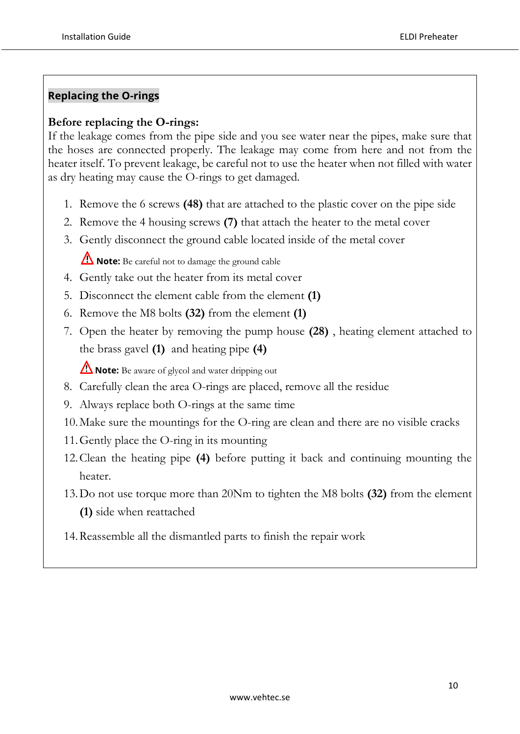#### **Replacing the O-rings**

#### **Before replacing the O-rings:**

If the leakage comes from the pipe side and you see water near the pipes, make sure that the hoses are connected properly. The leakage may come from here and not from the heater itself. To prevent leakage, be careful not to use the heater when not filled with water as dry heating may cause the O-rings to get damaged.

- 1. Remove the 6 screws **(48)** that are attached to the plastic cover on the pipe side
- 2. Remove the 4 housing screws **(7)** that attach the heater to the metal cover
- 3. Gently disconnect the ground cable located inside of the metal cover

*A* Note: Be careful not to damage the ground cable

- 4. Gently take out the heater from its metal cover
- 5. Disconnect the element cable from the element **(1)**
- 6. Remove the M8 bolts **(32)** from the element **(1)**
- 7. Open the heater by removing the pump house **(28)** , heating element attached to the brass gavel **(1)** and heating pipe **(4)**

**Note:** Be aware of glycol and water dripping out

- 8. Carefully clean the area O-rings are placed, remove all the residue
- 9. Always replace both O-rings at the same time
- 10.Make sure the mountings for the O-ring are clean and there are no visible cracks
- 11.Gently place the O-ring in its mounting
- 12.Clean the heating pipe **(4)** before putting it back and continuing mounting the heater.
- 13.Do not use torque more than 20Nm to tighten the M8 bolts **(32)** from the element **(1)** side when reattached
- 14.Reassemble all the dismantled parts to finish the repair work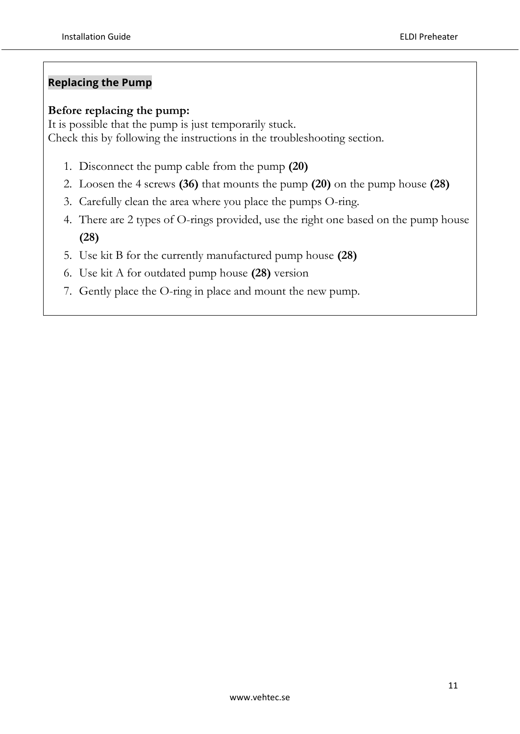#### **Replacing the Pump**

#### **Before replacing the pump:**

It is possible that the pump is just temporarily stuck. Check this by following the instructions in the troubleshooting section.

- 1. Disconnect the pump cable from the pump **(20)**
- 2. Loosen the 4 screws **(36)** that mounts the pump **(20)** on the pump house **(28)**
- 3. Carefully clean the area where you place the pumps O-ring.
- 4. There are 2 types of O-rings provided, use the right one based on the pump house **(28)**
- 5. Use kit B for the currently manufactured pump house **(28)**
- 6. Use kit A for outdated pump house **(28)** version
- 7. Gently place the O-ring in place and mount the new pump.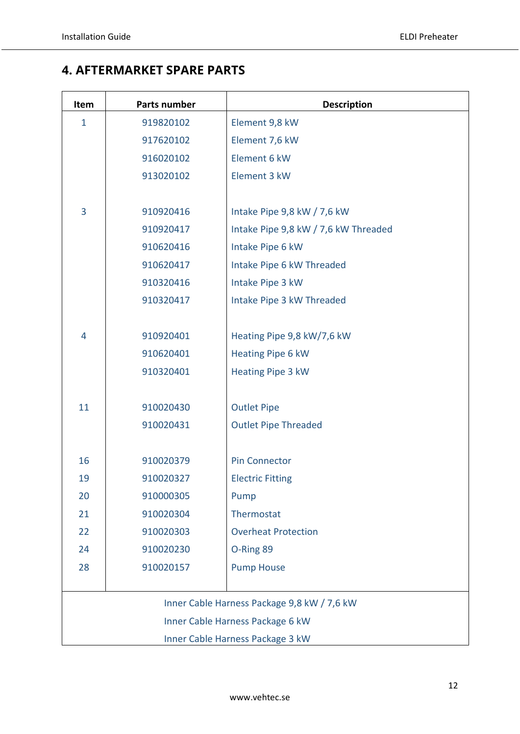## **4..AFTERMARKET SPARE PARTS**

| Item                             | <b>Parts number</b>                  | <b>Description</b>                          |  |  |  |  |
|----------------------------------|--------------------------------------|---------------------------------------------|--|--|--|--|
| $\mathbf{1}$                     | 919820102                            | Element 9,8 kW                              |  |  |  |  |
|                                  | 917620102                            | Element 7,6 kW                              |  |  |  |  |
|                                  | 916020102                            | Element 6 kW                                |  |  |  |  |
|                                  | 913020102                            | Element 3 kW                                |  |  |  |  |
|                                  |                                      |                                             |  |  |  |  |
| 3                                | 910920416                            | Intake Pipe 9,8 kW / 7,6 kW                 |  |  |  |  |
|                                  | 910920417                            | Intake Pipe 9,8 kW / 7,6 kW Threaded        |  |  |  |  |
|                                  | 910620416                            | Intake Pipe 6 kW                            |  |  |  |  |
|                                  | 910620417                            | Intake Pipe 6 kW Threaded                   |  |  |  |  |
|                                  | 910320416                            | Intake Pipe 3 kW                            |  |  |  |  |
|                                  | 910320417                            | Intake Pipe 3 kW Threaded                   |  |  |  |  |
|                                  |                                      |                                             |  |  |  |  |
| 4                                | 910920401                            | Heating Pipe 9,8 kW/7,6 kW                  |  |  |  |  |
|                                  | 910620401                            | Heating Pipe 6 kW                           |  |  |  |  |
|                                  | 910320401                            | Heating Pipe 3 kW                           |  |  |  |  |
|                                  |                                      |                                             |  |  |  |  |
| 11                               | 910020430                            | <b>Outlet Pipe</b>                          |  |  |  |  |
|                                  | 910020431                            | <b>Outlet Pipe Threaded</b>                 |  |  |  |  |
|                                  |                                      |                                             |  |  |  |  |
| 16                               | 910020379                            | <b>Pin Connector</b>                        |  |  |  |  |
| 19                               | 910020327<br><b>Electric Fitting</b> |                                             |  |  |  |  |
| 20                               | 910000305                            | Pump                                        |  |  |  |  |
| 21                               | 910020304                            | Thermostat                                  |  |  |  |  |
| 22                               | 910020303                            | <b>Overheat Protection</b>                  |  |  |  |  |
| 24                               | 910020230                            | O-Ring 89                                   |  |  |  |  |
| 28                               | 910020157                            | <b>Pump House</b>                           |  |  |  |  |
|                                  |                                      |                                             |  |  |  |  |
|                                  |                                      | Inner Cable Harness Package 9,8 kW / 7,6 kW |  |  |  |  |
|                                  |                                      | Inner Cable Harness Package 6 kW            |  |  |  |  |
| Inner Cable Harness Package 3 kW |                                      |                                             |  |  |  |  |